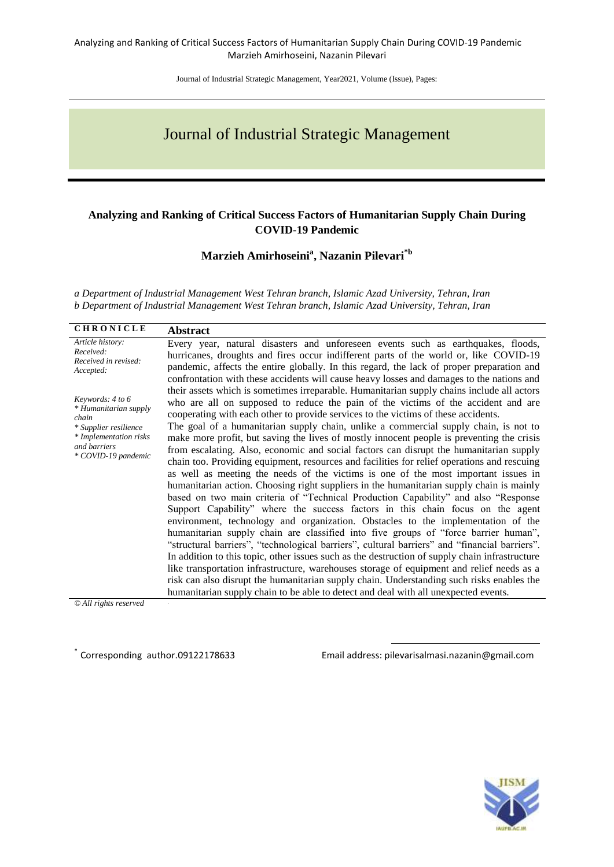Journal of Industrial Strategic Management, Year2021, Volume (Issue), Pages:

# Journal of Industrial Strategic Management

#### **Analyzing and Ranking of Critical Success Factors of Humanitarian Supply Chain During COVID-19 Pandemic**

**Marzieh Amirhoseini<sup>a</sup> , Nazanin Pilevari\*b**

*a Department of Industrial Management West Tehran branch, Islamic Azad University, Tehran, Iran b Department of Industrial Management West Tehran branch, Islamic Azad University, Tehran, Iran*

| <b>CHRONICLE</b>                                                            | <b>Abstract</b>                                                                                                                                                                                                                                                                                                                                                                     |
|-----------------------------------------------------------------------------|-------------------------------------------------------------------------------------------------------------------------------------------------------------------------------------------------------------------------------------------------------------------------------------------------------------------------------------------------------------------------------------|
| Article history:<br>Received:<br>Received in revised:<br>Accepted:          | Every year, natural disasters and unforeseen events such as earthquakes, floods,<br>hurricanes, droughts and fires occur indifferent parts of the world or, like COVID-19<br>pandemic, affects the entire globally. In this regard, the lack of proper preparation and<br>confrontation with these accidents will cause heavy losses and damages to the nations and                 |
| Keywords: 4 to 6<br>* Humanitarian supply<br>chain<br>* Supplier resilience | their assets which is sometimes irreparable. Humanitarian supply chains include all actors<br>who are all on supposed to reduce the pain of the victims of the accident and are<br>cooperating with each other to provide services to the victims of these accidents.<br>The goal of a humanitarian supply chain, unlike a commercial supply chain, is not to                       |
| * Implementation risks<br>and barriers<br>* COVID-19 pandemic               | make more profit, but saving the lives of mostly innocent people is preventing the crisis<br>from escalating. Also, economic and social factors can disrupt the humanitarian supply<br>chain too. Providing equipment, resources and facilities for relief operations and rescuing<br>as well as meeting the needs of the victims is one of the most important issues in            |
|                                                                             | humanitarian action. Choosing right suppliers in the humanitarian supply chain is mainly<br>based on two main criteria of "Technical Production Capability" and also "Response<br>Support Capability" where the success factors in this chain focus on the agent<br>environment, technology and organization. Obstacles to the implementation of the                                |
|                                                                             | humanitarian supply chain are classified into five groups of "force barrier human",<br>"structural barriers", "technological barriers", cultural barriers" and "financial barriers".<br>In addition to this topic, other issues such as the destruction of supply chain infrastructure<br>like transportation infrastructure, warehouses storage of equipment and relief needs as a |
|                                                                             | risk can also disrupt the humanitarian supply chain. Understanding such risks enables the<br>humanitarian supply chain to be able to detect and deal with all unexpected events.                                                                                                                                                                                                    |

*© All rights reserved* .

Corresponding author.09122178633

Email address: pilevarisalmasi.nazanin@gmail.com

1

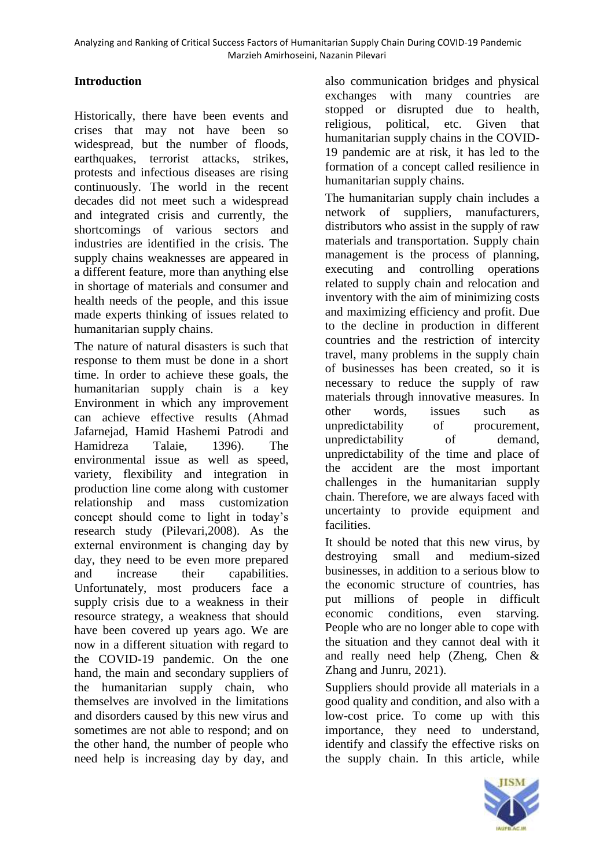# **Introduction**

Historically, there have been events and crises that may not have been so widespread, but the number of floods, earthquakes, terrorist attacks, strikes, protests and infectious diseases are rising continuously. The world in the recent decades did not meet such a widespread and integrated crisis and currently, the shortcomings of various sectors and industries are identified in the crisis. The supply chains weaknesses are appeared in a different feature, more than anything else in shortage of materials and consumer and health needs of the people, and this issue made experts thinking of issues related to humanitarian supply chains.

The nature of natural disasters is such that response to them must be done in a short time. In order to achieve these goals, the humanitarian supply chain is a key Environment in which any improvement can achieve effective results (Ahmad Jafarnejad, Hamid Hashemi Patrodi and Hamidreza Talaie, 1396). The environmental issue as well as speed, variety, flexibility and integration in production line come along with customer relationship and mass customization concept should come to light in today's research study (Pilevari,2008). As the external environment is changing day by day, they need to be even more prepared and increase their capabilities. Unfortunately, most producers face a supply crisis due to a weakness in their resource strategy, a weakness that should have been covered up years ago. We are now in a different situation with regard to the COVID-19 pandemic. On the one hand, the main and secondary suppliers of the humanitarian supply chain, who themselves are involved in the limitations and disorders caused by this new virus and sometimes are not able to respond; and on the other hand, the number of people who need help is increasing day by day, and

also communication bridges and physical exchanges with many countries are stopped or disrupted due to health, religious, political, etc. Given that humanitarian supply chains in the COVID-19 pandemic are at risk, it has led to the formation of a concept called resilience in humanitarian supply chains.

The humanitarian supply chain includes a network of suppliers, manufacturers, distributors who assist in the supply of raw materials and transportation. Supply chain management is the process of planning, executing and controlling operations related to supply chain and relocation and inventory with the aim of minimizing costs and maximizing efficiency and profit. Due to the decline in production in different countries and the restriction of intercity travel, many problems in the supply chain of businesses has been created, so it is necessary to reduce the supply of raw materials through innovative measures. In other words, issues such as unpredictability of procurement, unpredictability of demand, unpredictability of the time and place of the accident are the most important challenges in the humanitarian supply chain. Therefore, we are always faced with uncertainty to provide equipment and facilities.

It should be noted that this new virus, by destroying small and medium-sized businesses, in addition to a serious blow to the economic structure of countries, has put millions of people in difficult economic conditions, even starving. People who are no longer able to cope with the situation and they cannot deal with it and really need help (Zheng, Chen & Zhang and Junru, 2021).

Suppliers should provide all materials in a good quality and condition, and also with a low-cost price. To come up with this importance, they need to understand, identify and classify the effective risks on the supply chain. In this article, while

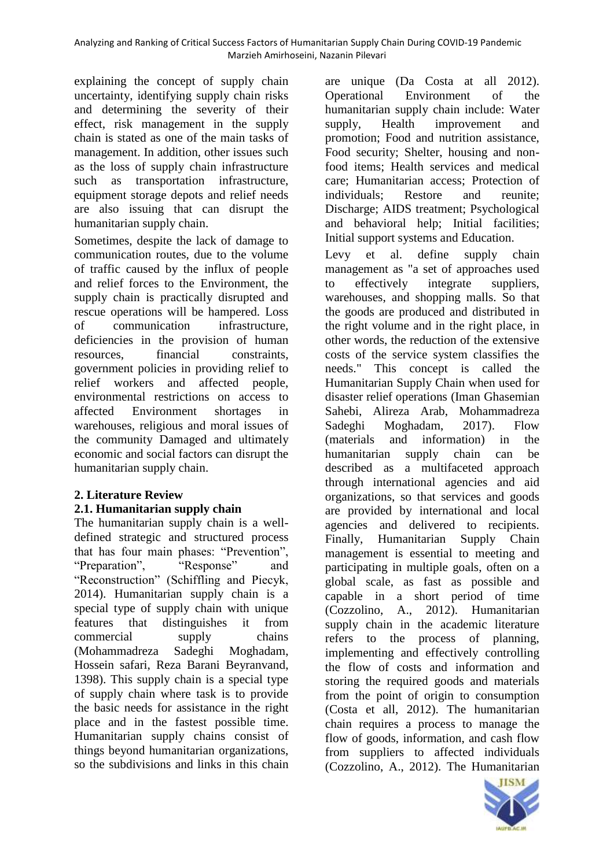explaining the concept of supply chain uncertainty, identifying supply chain risks and determining the severity of their effect, risk management in the supply chain is stated as one of the main tasks of management. In addition, other issues such as the loss of supply chain infrastructure such as transportation infrastructure, equipment storage depots and relief needs are also issuing that can disrupt the humanitarian supply chain.

Sometimes, despite the lack of damage to communication routes, due to the volume of traffic caused by the influx of people and relief forces to the Environment, the supply chain is practically disrupted and rescue operations will be hampered. Loss of communication infrastructure, deficiencies in the provision of human resources, financial constraints, government policies in providing relief to relief workers and affected people, environmental restrictions on access to affected Environment shortages in warehouses, religious and moral issues of the community Damaged and ultimately economic and social factors can disrupt the humanitarian supply chain.

# **2. Literature Review**

## **2.1. Humanitarian supply chain**

The humanitarian supply chain is a welldefined strategic and structured process that has four main phases: "Prevention", "Preparation", "Response" and "Reconstruction" (Schiffling and Piecyk, 2014). Humanitarian supply chain is a special type of supply chain with unique features that distinguishes it from commercial supply chains (Mohammadreza Sadeghi Moghadam, Hossein safari, Reza Barani Beyranvand, 1398). This supply chain is a special type of supply chain where task is to provide the basic needs for assistance in the right place and in the fastest possible time. Humanitarian supply chains consist of things beyond humanitarian organizations, so the subdivisions and links in this chain

are unique (Da Costa at all 2012). Operational Environment of the humanitarian supply chain include: Water supply, Health improvement and promotion; Food and nutrition assistance, Food security; Shelter, housing and nonfood items; Health services and medical care; Humanitarian access; Protection of individuals; Restore and reunite; Discharge; AIDS treatment; Psychological and behavioral help; Initial facilities; Initial support systems and Education.

Levy et al. define supply chain management as "a set of approaches used to effectively integrate suppliers, warehouses, and shopping malls. So that the goods are produced and distributed in the right volume and in the right place, in other words, the reduction of the extensive costs of the service system classifies the needs." This concept is called the Humanitarian Supply Chain when used for disaster relief operations (Iman Ghasemian Sahebi, Alireza Arab, Mohammadreza Sadeghi Moghadam, 2017). Flow (materials and information) in the humanitarian supply chain can be described as a multifaceted approach through international agencies and aid organizations, so that services and goods are provided by international and local agencies and delivered to recipients. Finally, Humanitarian Supply Chain management is essential to meeting and participating in multiple goals, often on a global scale, as fast as possible and capable in a short period of time (Cozzolino, A., 2012). Humanitarian supply chain in the academic literature refers to the process of planning, implementing and effectively controlling the flow of costs and information and storing the required goods and materials from the point of origin to consumption (Costa et all, 2012). The humanitarian chain requires a process to manage the flow of goods, information, and cash flow from suppliers to affected individuals (Cozzolino, A., 2012). The Humanitarian

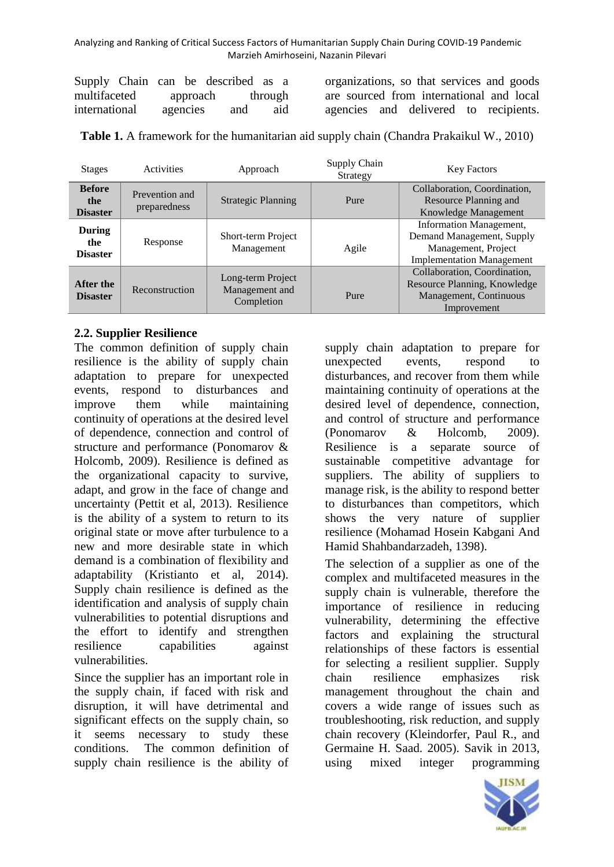| Supply Chain can be described as a |  |          |                  |     |
|------------------------------------|--|----------|------------------|-----|
| multifaceted                       |  |          | approach through |     |
| international                      |  | agencies | and              | aid |

organizations, so that services and goods are sourced from international and local agencies and delivered to recipients.

**Table 1.** A framework for the humanitarian aid supply chain (Chandra Prakaikul W., 2010)

| <b>Stages</b>                           | Activities                     | Approach                                          | Supply Chain<br>Strategy | <b>Key Factors</b>                                                                                                     |
|-----------------------------------------|--------------------------------|---------------------------------------------------|--------------------------|------------------------------------------------------------------------------------------------------------------------|
| <b>Before</b><br>the<br><b>Disaster</b> | Prevention and<br>preparedness | <b>Strategic Planning</b>                         | Pure                     | Collaboration, Coordination,<br>Resource Planning and<br>Knowledge Management                                          |
| <b>During</b><br>the<br><b>Disaster</b> | Response                       | Short-term Project<br>Management                  | Agile                    | <b>Information Management,</b><br>Demand Management, Supply<br>Management, Project<br><b>Implementation Management</b> |
| After the<br><b>Disaster</b>            | Reconstruction                 | Long-term Project<br>Management and<br>Completion | Pure                     | Collaboration, Coordination,<br>Resource Planning, Knowledge<br>Management, Continuous<br>Improvement                  |

## **2.2. Supplier Resilience**

The common definition of supply chain resilience is the ability of supply chain adaptation to prepare for unexpected events, respond to disturbances and improve them while maintaining continuity of operations at the desired level of dependence, connection and control of structure and performance (Ponomarov & Holcomb, 2009). Resilience is defined as the organizational capacity to survive, adapt, and grow in the face of change and uncertainty (Pettit et al, 2013). Resilience is the ability of a system to return to its original state or move after turbulence to a new and more desirable state in which demand is a combination of flexibility and adaptability (Kristianto et al, 2014). Supply chain resilience is defined as the identification and analysis of supply chain vulnerabilities to potential disruptions and the effort to identify and strengthen resilience capabilities against vulnerabilities.

Since the supplier has an important role in the supply chain, if faced with risk and disruption, it will have detrimental and significant effects on the supply chain, so it seems necessary to study these conditions. The common definition of supply chain resilience is the ability of supply chain adaptation to prepare for unexpected events, respond to disturbances, and recover from them while maintaining continuity of operations at the desired level of dependence, connection, and control of structure and performance (Ponomarov & Holcomb, 2009). Resilience is a separate source of sustainable competitive advantage for suppliers. The ability of suppliers to manage risk, is the ability to respond better to disturbances than competitors, which shows the very nature of supplier resilience (Mohamad Hosein Kabgani And Hamid Shahbandarzadeh, 1398).

The selection of a supplier as one of the complex and multifaceted measures in the supply chain is vulnerable, therefore the importance of resilience in reducing vulnerability, determining the effective factors and explaining the structural relationships of these factors is essential for selecting a resilient supplier. Supply chain resilience emphasizes risk management throughout the chain and covers a wide range of issues such as troubleshooting, risk reduction, and supply chain recovery (Kleindorfer, Paul R., and Germaine H. Saad. 2005). Savik in 2013, using mixed integer programming

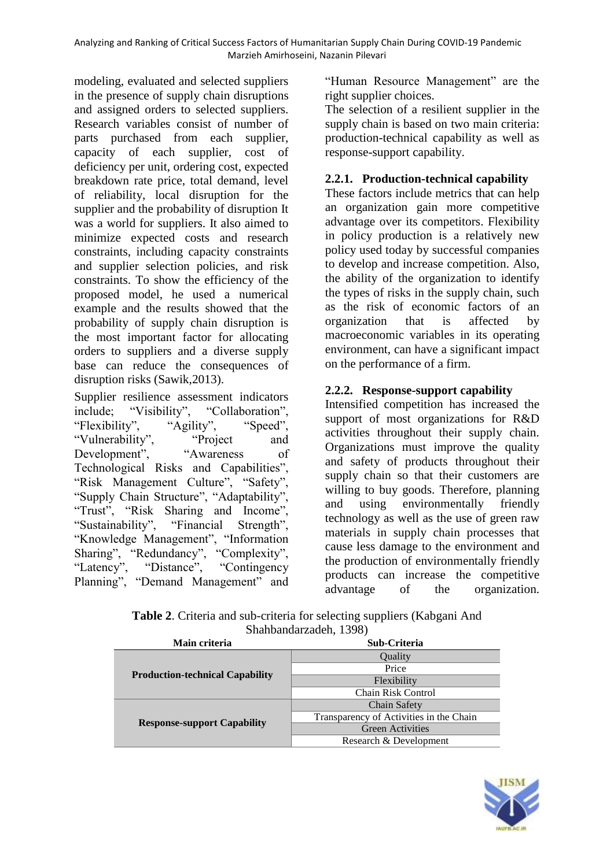modeling, evaluated and selected suppliers in the presence of supply chain disruptions and assigned orders to selected suppliers. Research variables consist of number of parts purchased from each supplier, capacity of each supplier, cost of deficiency per unit, ordering cost, expected breakdown rate price, total demand, level of reliability, local disruption for the supplier and the probability of disruption It was a world for suppliers. It also aimed to minimize expected costs and research constraints, including capacity constraints and supplier selection policies, and risk constraints. To show the efficiency of the proposed model, he used a numerical example and the results showed that the probability of supply chain disruption is the most important factor for allocating orders to suppliers and a diverse supply base can reduce the consequences of disruption risks (Sawik,2013).

Supplier resilience assessment indicators include; "Visibility", "Collaboration", "Flexibility", "Agility", "Speed", "Vulnerability", "Project and Development", "Awareness of Technological Risks and Capabilities", "Risk Management Culture", "Safety", "Supply Chain Structure", "Adaptability", "Trust", "Risk Sharing and Income", "Sustainability", "Financial Strength", "Knowledge Management", "Information Sharing", "Redundancy", "Complexity", "Latency", "Distance", "Contingency Planning", "Demand Management" and "Human Resource Management" are the right supplier choices.

The selection of a resilient supplier in the supply chain is based on two main criteria: production-technical capability as well as response-support capability.

## **2.2.1. Production-technical capability**

These factors include metrics that can help an organization gain more competitive advantage over its competitors. Flexibility in policy production is a relatively new policy used today by successful companies to develop and increase competition. Also, the ability of the organization to identify the types of risks in the supply chain, such as the risk of economic factors of an organization that is affected by macroeconomic variables in its operating environment, can have a significant impact on the performance of a firm.

## **2.2.2. Response-support capability**

Intensified competition has increased the support of most organizations for R&D activities throughout their supply chain. Organizations must improve the quality and safety of products throughout their supply chain so that their customers are willing to buy goods. Therefore, planning and using environmentally friendly technology as well as the use of green raw materials in supply chain processes that cause less damage to the environment and the production of environmentally friendly products can increase the competitive advantage of the organization.

| <b>Table 2.</b> Criteria and sub-criteria for selecting suppliers (Kabgani And |
|--------------------------------------------------------------------------------|
| Shahbandarzadeh, 1398)                                                         |

| Main criteria                          | Sub-Criteria                            |  |  |
|----------------------------------------|-----------------------------------------|--|--|
|                                        | Quality                                 |  |  |
|                                        | Price                                   |  |  |
| <b>Production-technical Capability</b> | Flexibility                             |  |  |
|                                        | Chain Risk Control                      |  |  |
|                                        | Chain Safety                            |  |  |
|                                        | Transparency of Activities in the Chain |  |  |
| <b>Response-support Capability</b>     | <b>Green Activities</b>                 |  |  |
|                                        | Research & Development                  |  |  |

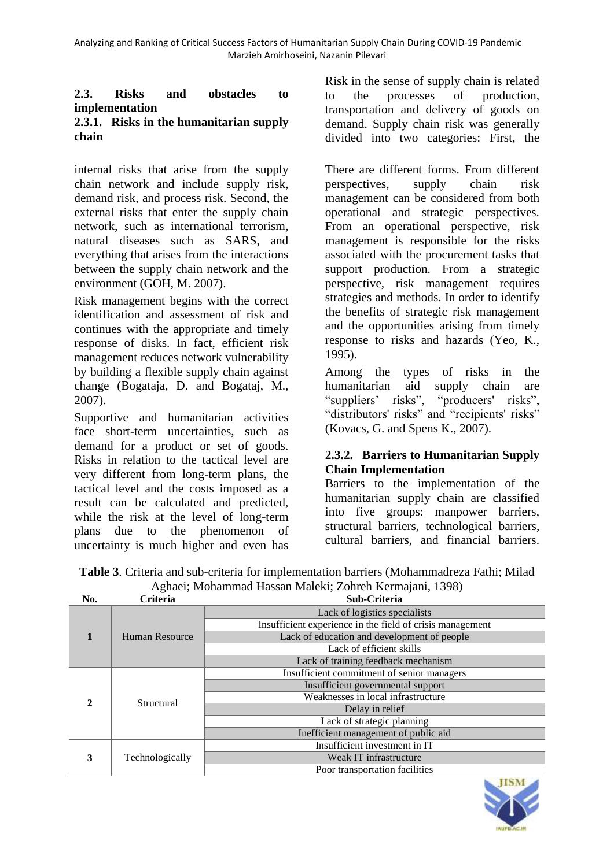#### **2.3. Risks and obstacles to implementation 2.3.1. Risks in the humanitarian supply chain**

internal risks that arise from the supply chain network and include supply risk, demand risk, and process risk. Second, the external risks that enter the supply chain network, such as international terrorism, natural diseases such as SARS, and everything that arises from the interactions between the supply chain network and the environment (GOH, M. 2007).

Risk management begins with the correct identification and assessment of risk and continues with the appropriate and timely response of disks. In fact, efficient risk management reduces network vulnerability by building a flexible supply chain against change (Bogataja, D. and Bogataj, M., 2007).

Supportive and humanitarian activities face short-term uncertainties, such as demand for a product or set of goods. Risks in relation to the tactical level are very different from long-term plans, the tactical level and the costs imposed as a result can be calculated and predicted, while the risk at the level of long-term plans due to the phenomenon of uncertainty is much higher and even has

Risk in the sense of supply chain is related to the processes of production, transportation and delivery of goods on demand. Supply chain risk was generally divided into two categories: First, the

There are different forms. From different perspectives, supply chain risk management can be considered from both operational and strategic perspectives. From an operational perspective, risk management is responsible for the risks associated with the procurement tasks that support production. From a strategic perspective, risk management requires strategies and methods. In order to identify the benefits of strategic risk management and the opportunities arising from timely response to risks and hazards (Yeo, K., 1995).

Among the types of risks in the humanitarian aid supply chain are "suppliers' risks", "producers' risks", "distributors' risks" and "recipients' risks" (Kovacs, G. and Spens K., 2007).

## **2.3.2. Barriers to Humanitarian Supply Chain Implementation**

Barriers to the implementation of the humanitarian supply chain are classified into five groups: manpower barriers, structural barriers, technological barriers, cultural barriers, and financial barriers.

**Table 3**. Criteria and sub-criteria for implementation barriers (Mohammadreza Fathi; Milad Aghaei; Mohammad Hassan Maleki; Zohreh Kermajani, 1398)

| No. | Criteria        | Sub-Criteria                                              |
|-----|-----------------|-----------------------------------------------------------|
|     |                 | Lack of logistics specialists                             |
|     |                 | Insufficient experience in the field of crisis management |
|     | Human Resource  | Lack of education and development of people               |
|     |                 | Lack of efficient skills                                  |
|     |                 | Lack of training feedback mechanism                       |
|     | Structural      | Insufficient commitment of senior managers                |
|     |                 | Insufficient governmental support                         |
|     |                 | Weaknesses in local infrastructure                        |
|     |                 | Delay in relief                                           |
|     |                 | Lack of strategic planning                                |
|     |                 | Inefficient management of public aid                      |
|     |                 | Insufficient investment in IT                             |
| 3   | Technologically | Weak IT infrastructure                                    |
|     |                 | Poor transportation facilities                            |

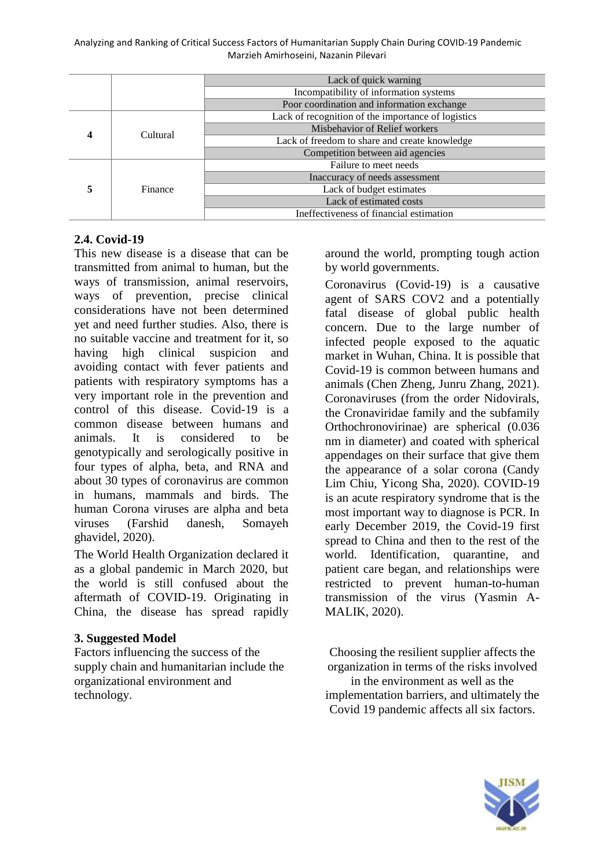|  |          | Lack of quick warning                              |
|--|----------|----------------------------------------------------|
|  |          | Incompatibility of information systems             |
|  |          | Poor coordination and information exchange         |
|  |          | Lack of recognition of the importance of logistics |
|  | Cultural | Misbehavior of Relief workers                      |
|  |          | Lack of freedom to share and create knowledge      |
|  |          | Competition between aid agencies                   |
|  |          | Failure to meet needs                              |
|  | Finance  | Inaccuracy of needs assessment                     |
|  |          | Lack of budget estimates                           |
|  |          | Lack of estimated costs                            |
|  |          | Ineffectiveness of financial estimation            |

### **2.4. Covid-19**

This new disease is a disease that can be transmitted from animal to human, but the ways of transmission, animal reservoirs, ways of prevention, precise clinical considerations have not been determined yet and need further studies. Also, there is no suitable vaccine and treatment for it, so having high clinical suspicion and avoiding contact with fever patients and patients with respiratory symptoms has a very important role in the prevention and control of this disease. Covid-19 is a common disease between humans and animals. It is considered to be genotypically and serologically positive in four types of alpha, beta, and RNA and about 30 types of coronavirus are common in humans, mammals and birds. The human Corona viruses are alpha and beta viruses (Farshid danesh, Somayeh ghavidel, 2020).

The World Health Organization declared it as a global pandemic in March 2020, but the world is still confused about the aftermath of COVID-19. Originating in China, the disease has spread rapidly

## **3. Suggested Model**

Factors influencing the success of the supply chain and humanitarian include the organizational environment and technology.

around the world, prompting tough action by world governments.

Coronavirus (Covid-19) is a causative agent of SARS COV2 and a potentially fatal disease of global public health concern. Due to the large number of infected people exposed to the aquatic market in Wuhan, China. It is possible that Covid-19 is common between humans and animals (Chen Zheng, Junru Zhang, 2021). Coronaviruses (from the order Nidovirals, the Cronaviridae family and the subfamily Orthochronovirinae) are spherical (0.036 nm in diameter) and coated with spherical appendages on their surface that give them the appearance of a solar corona (Candy Lim Chiu, Yicong Sha, 2020). COVID-19 is an acute respiratory syndrome that is the most important way to diagnose is PCR. In early December 2019, the Covid-19 first spread to China and then to the rest of the world. Identification, quarantine, and patient care began, and relationships were restricted to prevent human-to-human transmission of the virus (Yasmin A-MALIK, 2020).

Choosing the resilient supplier affects the organization in terms of the risks involved in the environment as well as the implementation barriers, and ultimately the Covid 19 pandemic affects all six factors.

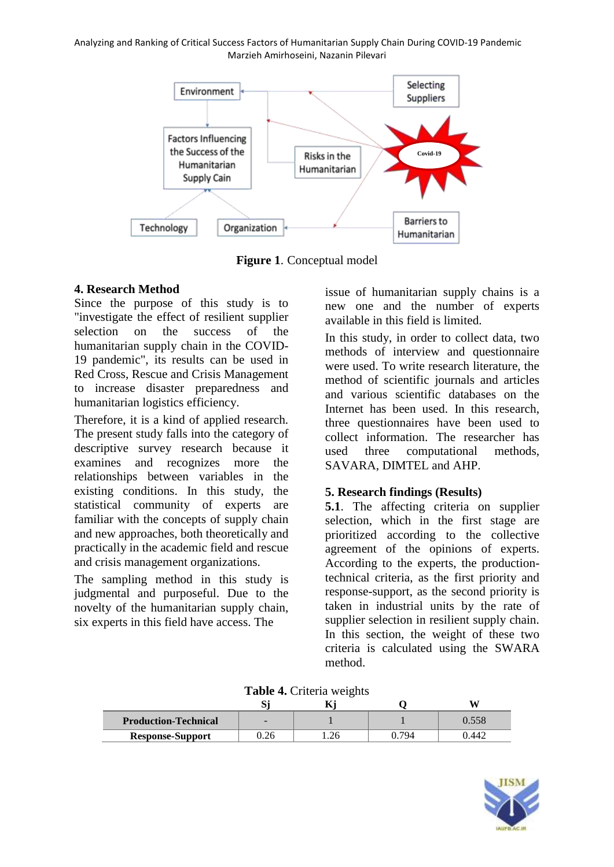

**Figure 1**. Conceptual model

## **4. Research Method**

Since the purpose of this study is to "investigate the effect of resilient supplier selection on the success of the humanitarian supply chain in the COVID-19 pandemic", its results can be used in Red Cross, Rescue and Crisis Management to increase disaster preparedness and humanitarian logistics efficiency.

Therefore, it is a kind of applied research. The present study falls into the category of descriptive survey research because it examines and recognizes more the relationships between variables in the existing conditions. In this study, the statistical community of experts are familiar with the concepts of supply chain and new approaches, both theoretically and practically in the academic field and rescue and crisis management organizations.

The sampling method in this study is judgmental and purposeful. Due to the novelty of the humanitarian supply chain, six experts in this field have access. The

issue of humanitarian supply chains is a new one and the number of experts available in this field is limited.

In this study, in order to collect data, two methods of interview and questionnaire were used. To write research literature, the method of scientific journals and articles and various scientific databases on the Internet has been used. In this research, three questionnaires have been used to collect information. The researcher has used three computational methods, SAVARA, DIMTEL and AHP.

## **5. Research findings (Results)**

**5.1**. The affecting criteria on supplier selection, which in the first stage are prioritized according to the collective agreement of the opinions of experts. According to the experts, the productiontechnical criteria, as the first priority and response-support, as the second priority is taken in industrial units by the rate of supplier selection in resilient supply chain. In this section, the weight of these two criteria is calculated using the SWARA method.

|                             |      | - |     |              |
|-----------------------------|------|---|-----|--------------|
| <b>Production-Technical</b> | -    |   |     |              |
| <b>Response-Support</b>     | ).26 |   | 794 | $44'_{\sim}$ |

**Table 4.** Criteria weights

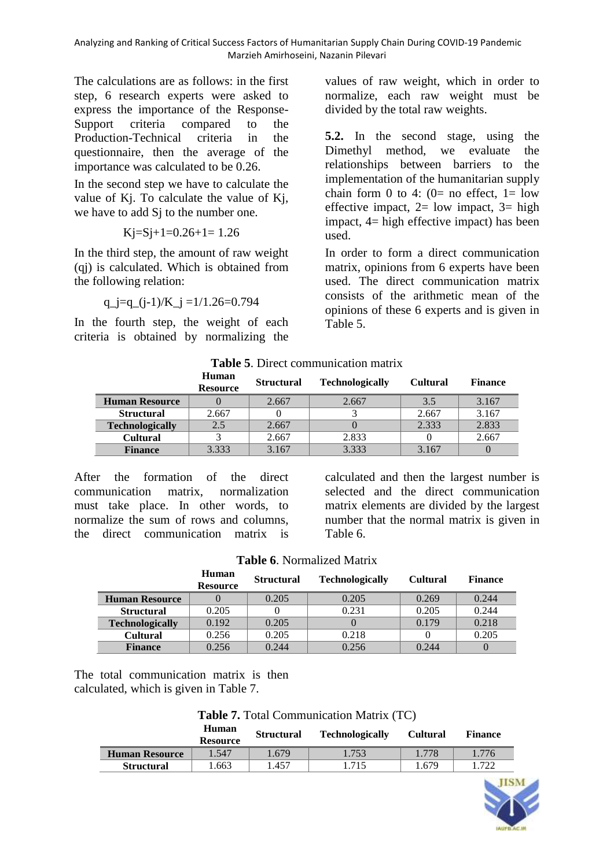The calculations are as follows: in the first step, 6 research experts were asked to express the importance of the Response-Support criteria compared to the Production-Technical criteria in the questionnaire, then the average of the importance was calculated to be 0.26.

In the second step we have to calculate the value of Kj. To calculate the value of Kj, we have to add S<sub>i</sub> to the number one.

$$
Kj = Sj + 1 = 0.26 + 1 = 1.26
$$

In the third step, the amount of raw weight (qj) is calculated. Which is obtained from the following relation:

$$
q_j = q_{j-1} / K_j = 1/1.26 = 0.794
$$

In the fourth step, the weight of each criteria is obtained by normalizing the values of raw weight, which in order to normalize, each raw weight must be divided by the total raw weights.

**5.2.** In the second stage, using the Dimethyl method, we evaluate the relationships between barriers to the implementation of the humanitarian supply chain form 0 to 4:  $(0=$  no effect,  $1=$  low effective impact,  $2=$  low impact,  $3=$  high impact, 4= high effective impact) has been used.

In order to form a direct communication matrix, opinions from 6 experts have been used. The direct communication matrix consists of the arithmetic mean of the opinions of these 6 experts and is given in Table 5.

| Table 5. Direct communication matrix |
|--------------------------------------|
|--------------------------------------|

|                        | Human<br><b>Resource</b> | <b>Structural</b> | <b>Technologically</b> | <b>Cultural</b> | <b>Finance</b> |
|------------------------|--------------------------|-------------------|------------------------|-----------------|----------------|
| <b>Human Resource</b>  |                          | 2.667             | 2.667                  | 3.5             | 3.167          |
| <b>Structural</b>      | 2.667                    |                   |                        | 2.667           | 3.167          |
| <b>Technologically</b> | 2.5                      | 2.667             |                        | 2.333           | 2.833          |
| <b>Cultural</b>        |                          | 2.667             | 2.833                  |                 | 2.667          |
| <b>Finance</b>         | 3.333                    | 3.167             | 3.333                  | 3.167           |                |

After the formation of the direct communication matrix, normalization must take place. In other words, to normalize the sum of rows and columns, the direct communication matrix is

calculated and then the largest number is selected and the direct communication matrix elements are divided by the largest number that the normal matrix is given in Table 6.

|                        | Human<br><b>Resource</b> | <b>Structural</b> | <b>Technologically</b> | <b>Cultural</b> | <b>Finance</b> |
|------------------------|--------------------------|-------------------|------------------------|-----------------|----------------|
| <b>Human Resource</b>  |                          | 0.205             | 0.205                  | 0.269           | 0.244          |
| <b>Structural</b>      | 0.205                    |                   | 0.231                  | 0.205           | 0.244          |
| <b>Technologically</b> | 0.192                    | 0.205             |                        | 0.179           | 0.218          |
| <b>Cultural</b>        | 0.256                    | 0.205             | 0.218                  |                 | 0.205          |
| <b>Finance</b>         | 0.256                    | 0.244             | 0.256                  | 0.244           |                |

The total communication matrix is then calculated, which is given in Table 7.

**Table 7.** Total Communication Matrix (TC)

|                       | <b>Human</b><br><b>Resource</b> | <b>Structural</b> | <b>Technologically</b> | <b>Cultural</b> | <b>Finance</b> |
|-----------------------|---------------------------------|-------------------|------------------------|-----------------|----------------|
| <b>Human Resource</b> | 1.547                           | 1.679             | 1.753                  | 1.778           | .776           |
| <b>Structural</b>     | 1.663                           | .457              | 1.715                  | 1.679           | .722           |

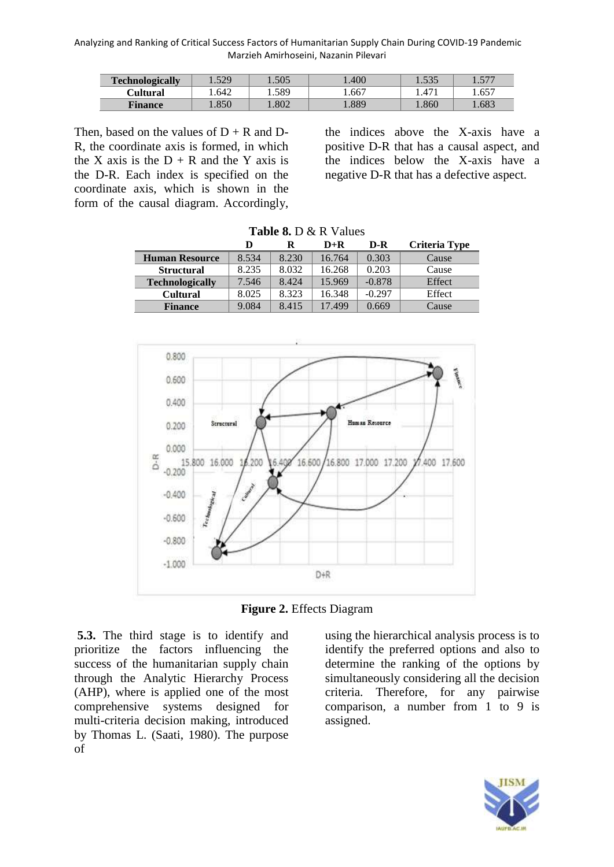| <b>Technologically</b> | 1.529 | 1.505 | .400 | 1.535 | 577   |
|------------------------|-------|-------|------|-------|-------|
| Cultural               | .642  | . 589 | 667  | 1.471 | 0.657 |
| <b>Finance</b>         | l.850 | .802  | .889 | .860  | .683  |

Then, based on the values of  $D + R$  and  $D$ -R, the coordinate axis is formed, in which the X axis is the  $D + R$  and the Y axis is the D-R. Each index is specified on the coordinate axis, which is shown in the form of the causal diagram. Accordingly,

the indices above the X-axis have a positive D-R that has a causal aspect, and the indices below the X-axis have a negative D-R that has a defective aspect.

|                        | <b>Table 8.</b> D & R Values |       |        |          |                      |
|------------------------|------------------------------|-------|--------|----------|----------------------|
|                        | D                            | R     | $D+R$  | D-R      | <b>Criteria Type</b> |
| <b>Human Resource</b>  | 8.534                        | 8.230 | 16.764 | 0.303    | Cause                |
| <b>Structural</b>      | 8.235                        | 8.032 | 16.268 | 0.203    | Cause                |
| <b>Technologically</b> | 7.546                        | 8.424 | 15.969 | $-0.878$ | Effect               |
| <b>Cultural</b>        | 8.025                        | 8.323 | 16.348 | $-0.297$ | Effect               |
| <b>Finance</b>         | 9.084                        | 8.415 | 17.499 | 0.669    | Cause                |



**Figure 2.** Effects Diagram

**5.3.** The third stage is to identify and prioritize the factors influencing the success of the humanitarian supply chain through the Analytic Hierarchy Process (AHP), where is applied one of the most comprehensive systems designed for multi-criteria decision making, introduced by Thomas L. (Saati, 1980). The purpose of

using the hierarchical analysis process is to identify the preferred options and also to determine the ranking of the options by simultaneously considering all the decision criteria. Therefore, for any pairwise comparison, a number from 1 to 9 is assigned.

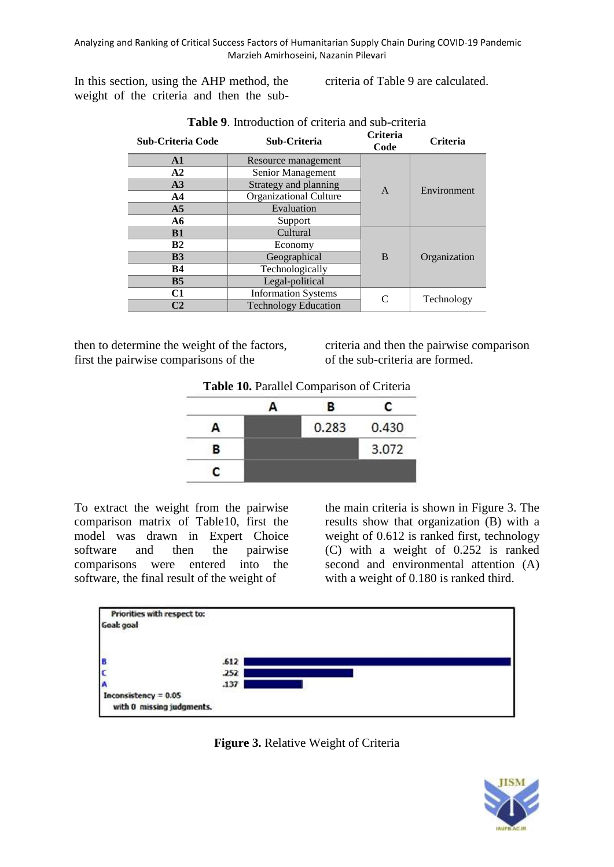In this section, using the AHP method, the weight of the criteria and then the subcriteria of Table 9 are calculated.

| <b>Sub-Criteria Code</b> | Sub-Criteria                  | <b>Criteria</b><br>Code | <b>Criteria</b> |
|--------------------------|-------------------------------|-------------------------|-----------------|
| $\mathbf{A1}$            | Resource management           |                         |                 |
| A2                       | Senior Management             |                         |                 |
| A3                       | Strategy and planning         | $\overline{A}$          | Environment     |
| AA                       | <b>Organizational Culture</b> |                         |                 |
| A <sub>5</sub>           | Evaluation                    |                         |                 |
| A6                       | Support                       |                         |                 |
| B1                       | Cultural                      |                         |                 |
| B <sub>2</sub>           | Economy                       |                         |                 |
| B <sub>3</sub>           | Geographical                  | B                       | Organization    |
| <b>B4</b>                | Technologically               |                         |                 |
| B <sub>5</sub>           | Legal-political               |                         |                 |
| C1                       | <b>Information Systems</b>    | $\subset$               |                 |
| C <sub>2</sub>           | <b>Technology Education</b>   |                         | Technology      |

then to determine the weight of the factors, first the pairwise comparisons of the

criteria and then the pairwise comparison of the sub-criteria are formed.

**Table 10.** Parallel Comparison of Criteria

|   | в     | c     |
|---|-------|-------|
|   | 0.283 | 0.430 |
| в |       | 3.072 |
| r |       |       |

To extract the weight from the pairwise comparison matrix of Table10, first the model was drawn in Expert Choice software and then the pairwise comparisons were entered into the software, the final result of the weight of

the main criteria is shown in Figure 3. The results show that organization (B) with a weight of 0.612 is ranked first, technology (C) with a weight of 0.252 is ranked second and environmental attention (A) with a weight of 0.180 is ranked third.



**Figure 3.** Relative Weight of Criteria

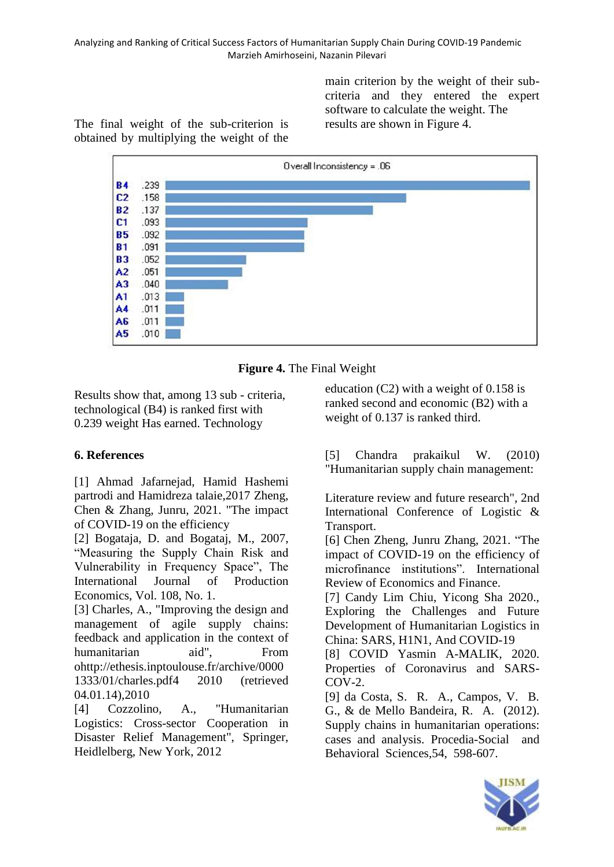main criterion by the weight of their subcriteria and they entered the expert software to calculate the weight. The results are shown in Figure 4.

The final weight of the sub-criterion is obtained by multiplying the weight of the



**Figure 4.** The Final Weight

Results show that, among 13 sub - criteria, technological (B4) is ranked first with 0.239 weight Has earned. Technology

# **6. References**

[1] Ahmad Jafarnejad, Hamid Hashemi partrodi and Hamidreza talaie,2017 Zheng, Chen & Zhang, Junru, 2021. "The impact of COVID-19 on the efficiency

[2] Bogataja, D. and Bogataj, M., 2007, "Measuring the Supply Chain Risk and Vulnerability in Frequency Space", The International Journal of Production Economics, Vol. 108, No. 1.

[3] Charles, A., "Improving the design and management of agile supply chains: feedback and application in the context of humanitarian aid". From ohttp://ethesis.inptoulouse.fr/archive/0000 1333/01/charles.pdf4 2010 (retrieved 04.01.14),2010

[4] Cozzolino, A., "Humanitarian Logistics: Cross-sector Cooperation in Disaster Relief Management", Springer, Heidlelberg, New York, 2012

education (C2) with a weight of 0.158 is ranked second and economic (B2) with a weight of 0.137 is ranked third.

[5] Chandra prakaikul W. (2010) "Humanitarian supply chain management:

Literature review and future research", 2nd International Conference of Logistic & Transport.

[6] Chen Zheng, Junru Zhang, 2021. "The impact of COVID-19 on the efficiency of microfinance institutions". International Review of Economics and Finance.

[7] Candy Lim Chiu, Yicong Sha 2020., Exploring the Challenges and Future Development of Humanitarian Logistics in China: SARS, H1N1, And COVID-19

[8] COVID Yasmin A-MALIK, 2020. Properties of Coronavirus and SARS- $COV-2.$ 

[9] da Costa, S. R. A., Campos, V. B. G., & de Mello Bandeira, R. A. (2012). Supply chains in humanitarian operations: cases and analysis. Procedia-Social and Behavioral Sciences,54, 598-607.

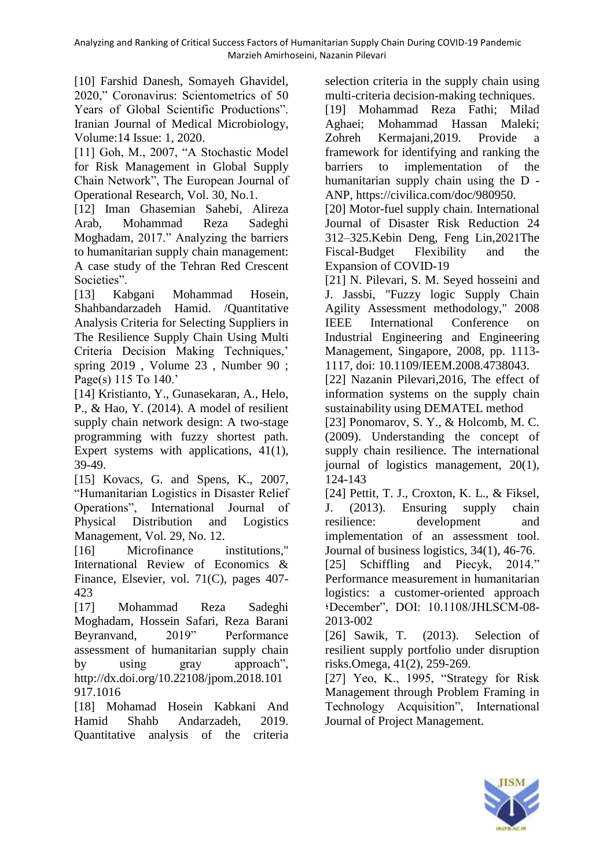[10] Farshid Danesh, Somayeh Ghavidel, 2020," Coronavirus: Scientometrics of 50 Years of Global Scientific Productions". Iranian Journal of Medical Microbiology, Volume:14 Issue: 1, 2020.

[11] Goh, M., 2007, "A Stochastic Model for Risk Management in Global Supply Chain Network", The European Journal of Operational Research, Vol. 30, No.1.

[12] Iman Ghasemian Sahebi, Alireza Arab, Mohammad Reza Sadeghi Moghadam, 2017." Analyzing the barriers to humanitarian supply chain management: A case study of the Tehran Red Crescent Societies".

[13] Kabgani Mohammad Hosein, Shahbandarzadeh Hamid. /Quantitative Analysis Criteria for Selecting Suppliers in The Resilience Supply Chain Using Multi Criteria Decision Making Techniques,' spring 2019 , Volume 23 , Number 90 ; Page(s) 115 To 140.'

[14] Kristianto, Y., Gunasekaran, A., Helo, P., & Hao, Y. (2014). A model of resilient supply chain network design: A two-stage programming with fuzzy shortest path. Expert systems with applications, 41(1), 39-49.

[15] Kovacs, G. and Spens, K., 2007, "Humanitarian Logistics in Disaster Relief Operations", International Journal of Physical Distribution and Logistics Management, Vol. 29, No. 12.

[16] Microfinance institutions," International Review of Economics & Finance, Elsevier, vol. 71(C), pages 407- 423

[17] Mohammad Reza Sadeghi Moghadam, Hossein Safari, Reza Barani Beyranvand, 2019" Performance assessment of humanitarian supply chain by using gray approach", http://dx.doi.org/10.22108/jpom.2018.101 917.1016

[18] Mohamad Hosein Kabkani And Hamid Shahb Andarzadeh, 2019. Quantitative analysis of the criteria

selection criteria in the supply chain using multi-criteria decision-making techniques.

[19] Mohammad Reza Fathi; Milad Aghaei; Mohammad Hassan Maleki; Zohreh Kermajani,2019. Provide a framework for identifying and ranking the barriers to implementation of the humanitarian supply chain using the D - ANP, https://civilica.com/doc/980950.

[20] Motor-fuel supply chain. International Journal of Disaster Risk Reduction 24 312–325.Kebin Deng, Feng Lin,2021The Fiscal-Budget Flexibility and the Expansion of COVID-19

[21] N. Pilevari, S. M. Seyed hosseini and J. Jassbi, "Fuzzy logic Supply Chain Agility Assessment methodology," 2008 IEEE International Conference on Industrial Engineering and Engineering Management, Singapore, 2008, pp. 1113- 1117, doi: 10.1109/IEEM.2008.4738043.

[22] Nazanin Pilevari, 2016, The effect of information systems on the supply chain sustainability using DEMATEL method

[23] Ponomarov, S. Y., & Holcomb, M. C. (2009). Understanding the concept of supply chain resilience. The international journal of logistics management, 20(1), 124-143

[24] Pettit, T. J., Croxton, K. L., & Fiksel, J. (2013). Ensuring supply chain resilience: development and implementation of an assessment tool. Journal of business logistics, 34(1), 46-76.

[25] Schiffling and Piecyk, 2014." Performance measurement in humanitarian logistics: a customer-oriented approach ؛December", DOI: 10.1108/JHLSCM-08- 2013-002

[26] Sawik, T. (2013). Selection of resilient supply portfolio under disruption risks.Omega, 41(2), 259-269.

[27] Yeo, K., 1995, "Strategy for Risk Management through Problem Framing in Technology Acquisition", International Journal of Project Management.